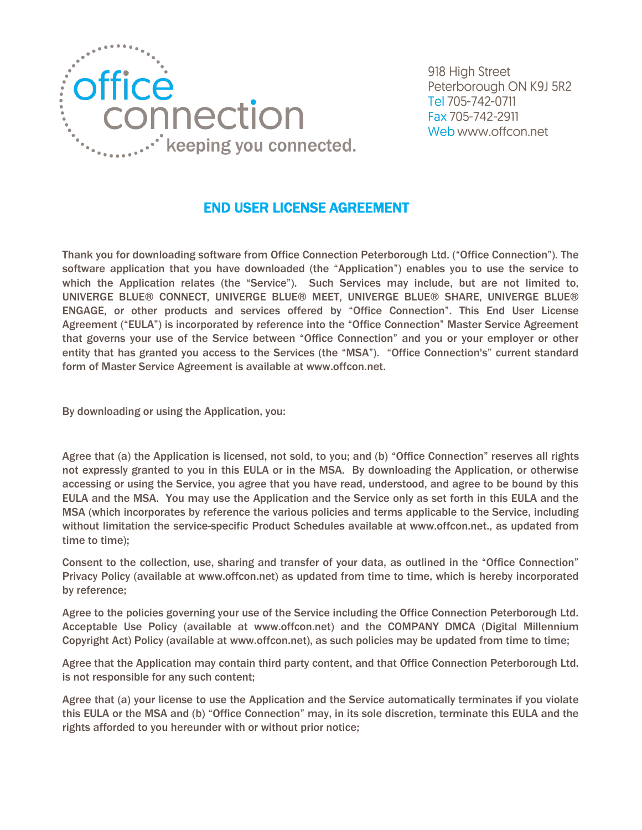

918 High Street Peterborough ON K9J 5R2 Tel 705-742-0711 Fax 705-742-2911 Web www.offcon.net

## END USER LICENSE AGREEMENT

Thank you for downloading software from Office Connection Peterborough Ltd. ("Office Connection"). The software application that you have downloaded (the "Application") enables you to use the service to which the Application relates (the "Service"). Such Services may include, but are not limited to, UNIVERGE BLUE® CONNECT, UNIVERGE BLUE® MEET, UNIVERGE BLUE® SHARE, UNIVERGE BLUE® ENGAGE, or other products and services offered by "Office Connection". This End User License Agreement ("EULA") is incorporated by reference into the "Office Connection" Master Service Agreement that governs your use of the Service between "Office Connection" and you or your employer or other entity that has granted you access to the Services (the "MSA"). "Office Connection's" current standard form of Master Service Agreement is available at www.offcon.net.

By downloading or using the Application, you:

Agree that (a) the Application is licensed, not sold, to you; and (b) "Office Connection" reserves all rights not expressly granted to you in this EULA or in the MSA. By downloading the Application, or otherwise accessing or using the Service, you agree that you have read, understood, and agree to be bound by this EULA and the MSA. You may use the Application and the Service only as set forth in this EULA and the MSA (which incorporates by reference the various policies and terms applicable to the Service, including without limitation the service-specific Product Schedules available at www.offcon.net., as updated from time to time);

Consent to the collection, use, sharing and transfer of your data, as outlined in the "Office Connection" Privacy Policy (available at www.offcon.net) as updated from time to time, which is hereby incorporated by reference;

Agree to the policies governing your use of the Service including the Office Connection Peterborough Ltd. Acceptable Use Policy (available at www.offcon.net) and the COMPANY DMCA (Digital Millennium Copyright Act) Policy (available at www.offcon.net), as such policies may be updated from time to time;

Agree that the Application may contain third party content, and that Office Connection Peterborough Ltd. is not responsible for any such content;

Agree that (a) your license to use the Application and the Service automatically terminates if you violate this EULA or the MSA and (b) "Office Connection" may, in its sole discretion, terminate this EULA and the rights afforded to you hereunder with or without prior notice;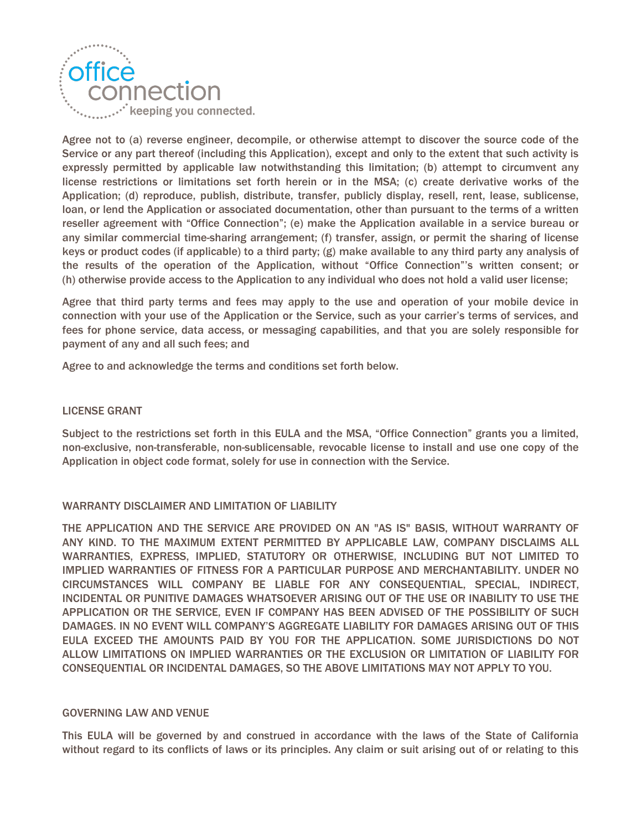

Agree not to (a) reverse engineer, decompile, or otherwise attempt to discover the source code of the Service or any part thereof (including this Application), except and only to the extent that such activity is expressly permitted by applicable law notwithstanding this limitation; (b) attempt to circumvent any license restrictions or limitations set forth herein or in the MSA; (c) create derivative works of the Application; (d) reproduce, publish, distribute, transfer, publicly display, resell, rent, lease, sublicense, loan, or lend the Application or associated documentation, other than pursuant to the terms of a written reseller agreement with "Office Connection"; (e) make the Application available in a service bureau or any similar commercial time-sharing arrangement; (f) transfer, assign, or permit the sharing of license keys or product codes (if applicable) to a third party; (g) make available to any third party any analysis of the results of the operation of the Application, without "Office Connection"'s written consent; or (h) otherwise provide access to the Application to any individual who does not hold a valid user license;

Agree that third party terms and fees may apply to the use and operation of your mobile device in connection with your use of the Application or the Service, such as your carrier's terms of services, and fees for phone service, data access, or messaging capabilities, and that you are solely responsible for payment of any and all such fees; and

Agree to and acknowledge the terms and conditions set forth below.

## LICENSE GRANT

Subject to the restrictions set forth in this EULA and the MSA, "Office Connection" grants you a limited, non-exclusive, non-transferable, non-sublicensable, revocable license to install and use one copy of the Application in object code format, solely for use in connection with the Service.

## WARRANTY DISCLAIMER AND LIMITATION OF LIABILITY

THE APPLICATION AND THE SERVICE ARE PROVIDED ON AN "AS IS" BASIS, WITHOUT WARRANTY OF ANY KIND. TO THE MAXIMUM EXTENT PERMITTED BY APPLICABLE LAW, COMPANY DISCLAIMS ALL WARRANTIES, EXPRESS, IMPLIED, STATUTORY OR OTHERWISE, INCLUDING BUT NOT LIMITED TO IMPLIED WARRANTIES OF FITNESS FOR A PARTICULAR PURPOSE AND MERCHANTABILITY. UNDER NO CIRCUMSTANCES WILL COMPANY BE LIABLE FOR ANY CONSEQUENTIAL, SPECIAL, INDIRECT, INCIDENTAL OR PUNITIVE DAMAGES WHATSOEVER ARISING OUT OF THE USE OR INABILITY TO USE THE APPLICATION OR THE SERVICE, EVEN IF COMPANY HAS BEEN ADVISED OF THE POSSIBILITY OF SUCH DAMAGES. IN NO EVENT WILL COMPANY'S AGGREGATE LIABILITY FOR DAMAGES ARISING OUT OF THIS EULA EXCEED THE AMOUNTS PAID BY YOU FOR THE APPLICATION. SOME JURISDICTIONS DO NOT ALLOW LIMITATIONS ON IMPLIED WARRANTIES OR THE EXCLUSION OR LIMITATION OF LIABILITY FOR CONSEQUENTIAL OR INCIDENTAL DAMAGES, SO THE ABOVE LIMITATIONS MAY NOT APPLY TO YOU.

## GOVERNING LAW AND VENUE

This EULA will be governed by and construed in accordance with the laws of the State of California without regard to its conflicts of laws or its principles. Any claim or suit arising out of or relating to this